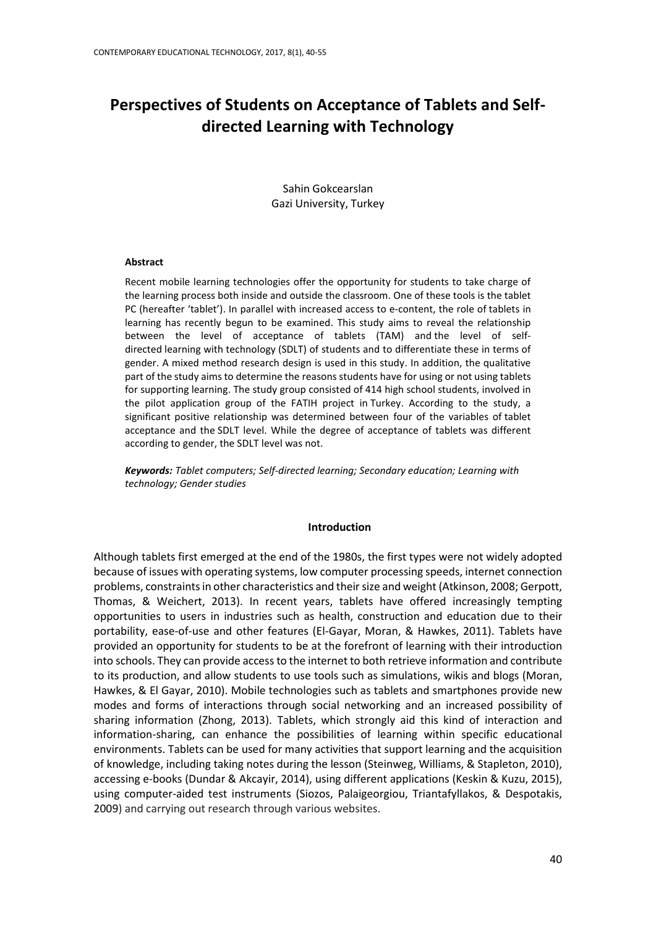# **Perspectives of Students on Acceptance of Tablets and Selfdirected Learning with Technology**

Sahin Gokcearslan Gazi University, Turkey

#### **Abstract**

Recent mobile learning technologies offer the opportunity for students to take charge of the learning process both inside and outside the classroom. One of these tools is the tablet PC (hereafter 'tablet'). In parallel with increased access to e-content, the role of tablets in learning has recently begun to be examined. This study aims to reveal the relationship between the level of acceptance of tablets (TAM) and the level of selfdirected learning with technology (SDLT) of students and to differentiate these in terms of gender. A mixed method research design is used in this study. In addition, the qualitative part of the study aims to determine the reasons students have for using or not using tablets for supporting learning. The study group consisted of 414 high school students, involved in the pilot application group of the FATIH project in Turkey. According to the study, a significant positive relationship was determined between four of the variables of tablet acceptance and the SDLT level. While the degree of acceptance of tablets was different according to gender, the SDLT level was not.

*Keywords: Tablet computers; Self-directed learning; Secondary education; Learning with technology; Gender studies*

#### **Introduction**

Although tablets first emerged at the end of the 1980s, the first types were not widely adopted because of issues with operating systems, low computer processing speeds, internet connection problems, constraints in other characteristics and their size and weight (Atkinson, 2008; Gerpott, Thomas, & Weichert, 2013). In recent years, tablets have offered increasingly tempting opportunities to users in industries such as health, construction and education due to their portability, ease-of-use and other features (El-Gayar, Moran, & Hawkes, 2011). Tablets have provided an opportunity for students to be at the forefront of learning with their introduction into schools. They can provide access to the internet to both retrieve information and contribute to its production, and allow students to use tools such as simulations, wikis and blogs (Moran, Hawkes, & El Gayar, 2010). Mobile technologies such as tablets and smartphones provide new modes and forms of interactions through social networking and an increased possibility of sharing information (Zhong, 2013). Tablets, which strongly aid this kind of interaction and information-sharing, can enhance the possibilities of learning within specific educational environments. Tablets can be used for many activities that support learning and the acquisition of knowledge, including taking notes during the lesson (Steinweg, Williams, & Stapleton, 2010), accessing e-books (Dundar & Akcayir, 2014), using different applications (Keskin & Kuzu, 2015), using computer-aided test instruments (Siozos, Palaigeorgiou, Triantafyllakos, & Despotakis, 2009) and carrying out research through various websites.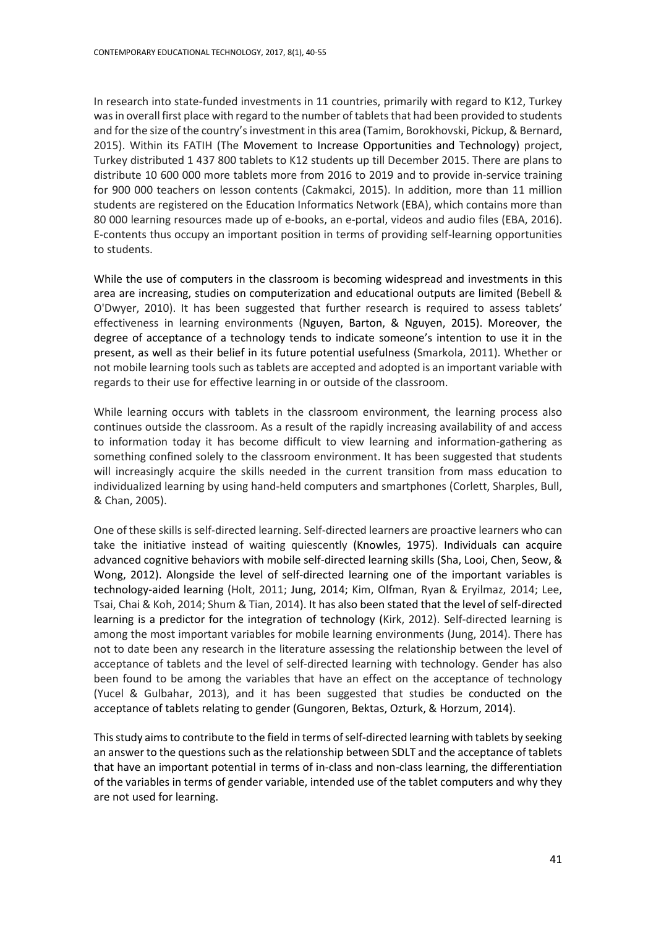In research into state-funded investments in 11 countries, primarily with regard to K12, Turkey was in overall first place with regard to the number of tablets that had been provided to students and for the size of the country's investment in this area (Tamim, Borokhovski, Pickup, & Bernard, 2015). Within its FATIH (The Movement to Increase Opportunities and Technology) project, Turkey distributed 1 437 800 tablets to K12 students up till December 2015. There are plans to distribute 10 600 000 more tablets more from 2016 to 2019 and to provide in-service training for 900 000 teachers on lesson contents (Cakmakci, 2015). In addition, more than 11 million students are registered on the Education Informatics Network (EBA), which contains more than 80 000 learning resources made up of e-books, an e-portal, videos and audio files (EBA, 2016). E-contents thus occupy an important position in terms of providing self-learning opportunities to students.

While the use of computers in the classroom is becoming widespread and investments in this area are increasing, studies on computerization and educational outputs are limited (Bebell & O'Dwyer, 2010). It has been suggested that further research is required to assess tablets' effectiveness in learning environments (Nguyen, Barton, & Nguyen, 2015). Moreover, the degree of acceptance of a technology tends to indicate someone's intention to use it in the present, as well as their belief in its future potential usefulness (Smarkola, 2011). Whether or not mobile learning tools such as tablets are accepted and adopted is an important variable with regards to their use for effective learning in or outside of the classroom.

While learning occurs with tablets in the classroom environment, the learning process also continues outside the classroom. As a result of the rapidly increasing availability of and access to information today it has become difficult to view learning and information-gathering as something confined solely to the classroom environment. It has been suggested that students will increasingly acquire the skills needed in the current transition from mass education to individualized learning by using hand-held computers and smartphones (Corlett, Sharples, Bull, & Chan, 2005).

One of these skills is self-directed learning. Self-directed learners are proactive learners who can take the initiative instead of waiting quiescently (Knowles, 1975). Individuals can acquire advanced cognitive behaviors with mobile self-directed learning skills (Sha, Looi, Chen, Seow, & Wong, 2012). Alongside the level of self-directed learning one of the important variables is technology-aided learning (Holt, 2011; Jung, 2014; Kim, Olfman, Ryan & Eryilmaz, 2014; Lee, Tsai, Chai & Koh, 2014; Shum & Tian, 2014). It has also been stated that the level of self-directed learning is a predictor for the integration of technology (Kirk, 2012). Self-directed learning is among the most important variables for mobile learning environments (Jung, 2014). There has not to date been any research in the literature assessing the relationship between the level of acceptance of tablets and the level of self-directed learning with technology. Gender has also been found to be among the variables that have an effect on the acceptance of technology (Yucel & Gulbahar, 2013), and it has been suggested that studies be conducted on the acceptance of tablets relating to gender (Gungoren, Bektas, Ozturk, & Horzum, 2014).

This study aims to contribute to the field in terms of self-directed learning with tablets by seeking an answer to the questions such as the relationship between SDLT and the acceptance of tablets that have an important potential in terms of in-class and non-class learning, the differentiation of the variables in terms of gender variable, intended use of the tablet computers and why they are not used for learning.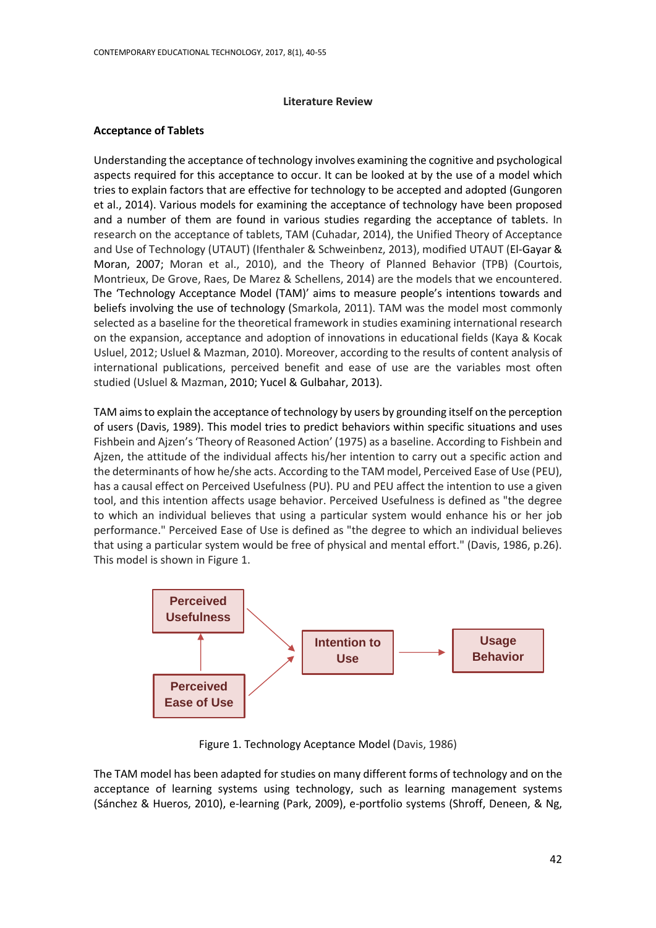#### **Literature Review**

#### **Acceptance of Tablets**

Understanding the acceptance of technology involves examining the cognitive and psychological aspects required for this acceptance to occur. It can be looked at by the use of a model which tries to explain factors that are effective for technology to be accepted and adopted (Gungoren et al., 2014). Various models for examining the acceptance of technology have been proposed and a number of them are found in various studies regarding the acceptance of tablets. In research on the acceptance of tablets, TAM (Cuhadar, 2014), the Unified Theory of Acceptance and Use of Technology (UTAUT) (Ifenthaler & Schweinbenz, 2013), modified UTAUT (El-Gayar & Moran, 2007; Moran et al., 2010), and the Theory of Planned Behavior (TPB) (Courtois, Montrieux, De Grove, Raes, De Marez & Schellens, 2014) are the models that we encountered. The 'Technology Acceptance Model (TAM)' aims to measure people's intentions towards and beliefs involving the use of technology (Smarkola, 2011). TAM was the model most commonly selected as a baseline for the theoretical framework in studies examining international research on the expansion, acceptance and adoption of innovations in educational fields (Kaya & Kocak Usluel, 2012; Usluel & Mazman, 2010). Moreover, according to the results of content analysis of international publications, perceived benefit and ease of use are the variables most often studied (Usluel & Mazman, 2010; Yucel & Gulbahar, 2013).

TAM aims to explain the acceptance of technology by users by grounding itself on the perception of users (Davis, 1989). This model tries to predict behaviors within specific situations and uses Fishbein and Ajzen's 'Theory of Reasoned Action' (1975) as a baseline. According to Fishbein and Ajzen, the attitude of the individual affects his/her intention to carry out a specific action and the determinants of how he/she acts. According to the TAM model, Perceived Ease of Use (PEU), has a causal effect on Perceived Usefulness (PU). PU and PEU affect the intention to use a given tool, and this intention affects usage behavior. Perceived Usefulness is defined as "the degree to which an individual believes that using a particular system would enhance his or her job performance." Perceived Ease of Use is defined as "the degree to which an individual believes that using a particular system would be free of physical and mental effort." (Davis, 1986, p.26). This model is shown in Figure 1.



Figure 1. Technology Aceptance Model (Davis, 1986)

The TAM model has been adapted for studies on many different forms of technology and on the acceptance of learning systems using technology, such as learning management systems (Sánchez & Hueros, 2010), e-learning (Park, 2009), e-portfolio systems (Shroff, Deneen, & Ng,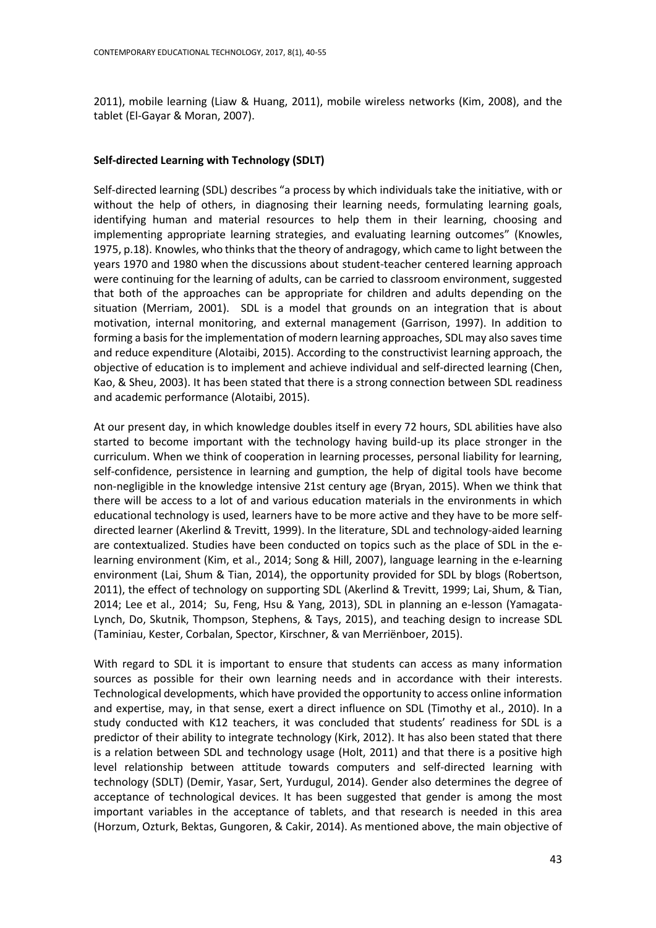2011), mobile learning (Liaw & Huang, 2011), mobile wireless networks (Kim, 2008), and the tablet (El-Gayar & Moran, 2007).

# **Self-directed Learning with Technology (SDLT)**

Self-directed learning (SDL) describes "a process by which individuals take the initiative, with or without the help of others, in diagnosing their learning needs, formulating learning goals, identifying human and material resources to help them in their learning, choosing and implementing appropriate learning strategies, and evaluating learning outcomes" (Knowles, 1975, p.18). Knowles, who thinks that the theory of andragogy, which came to light between the years 1970 and 1980 when the discussions about student-teacher centered learning approach were continuing for the learning of adults, can be carried to classroom environment, suggested that both of the approaches can be appropriate for children and adults depending on the situation (Merriam, 2001). SDL is a model that grounds on an integration that is about motivation, internal monitoring, and external management (Garrison, 1997). In addition to forming a basis for the implementation of modern learning approaches, SDL may also savestime and reduce expenditure (Alotaibi, 2015). According to the constructivist learning approach, the objective of education is to implement and achieve individual and self-directed learning (Chen, Kao, & Sheu, 2003). It has been stated that there is a strong connection between SDL readiness and academic performance (Alotaibi, 2015).

At our present day, in which knowledge doubles itself in every 72 hours, SDL abilities have also started to become important with the technology having build-up its place stronger in the curriculum. When we think of cooperation in learning processes, personal liability for learning, self-confidence, persistence in learning and gumption, the help of digital tools have become non-negligible in the knowledge intensive 21st century age (Bryan, 2015). When we think that there will be access to a lot of and various education materials in the environments in which educational technology is used, learners have to be more active and they have to be more selfdirected learner (Akerlind & Trevitt, 1999). In the literature, SDL and technology-aided learning are contextualized. Studies have been conducted on topics such as the place of SDL in the elearning environment (Kim, et al., 2014; Song & Hill, 2007), language learning in the e-learning environment (Lai, Shum & Tian, 2014), the opportunity provided for SDL by blogs (Robertson, 2011), the effect of technology on supporting SDL (Akerlind & Trevitt, 1999; Lai, Shum, & Tian, 2014; Lee et al., 2014; Su, Feng, Hsu & Yang, 2013), SDL in planning an e-lesson (Yamagata-Lynch, Do, Skutnik, Thompson, Stephens, & Tays, 2015), and teaching design to increase SDL (Taminiau, Kester, Corbalan, Spector, Kirschner, & van Merriënboer, 2015).

With regard to SDL it is important to ensure that students can access as many information sources as possible for their own learning needs and in accordance with their interests. Technological developments, which have provided the opportunity to access online information and expertise, may, in that sense, exert a direct influence on SDL (Timothy et al., 2010). In a study conducted with K12 teachers, it was concluded that students' readiness for SDL is a predictor of their ability to integrate technology (Kirk, 2012). It has also been stated that there is a relation between SDL and technology usage (Holt, 2011) and that there is a positive high level relationship between attitude towards computers and self-directed learning with technology (SDLT) (Demir, Yasar, Sert, Yurdugul, 2014). Gender also determines the degree of acceptance of technological devices. It has been suggested that gender is among the most important variables in the acceptance of tablets, and that research is needed in this area (Horzum, Ozturk, Bektas, Gungoren, & Cakir, 2014). As mentioned above, the main objective of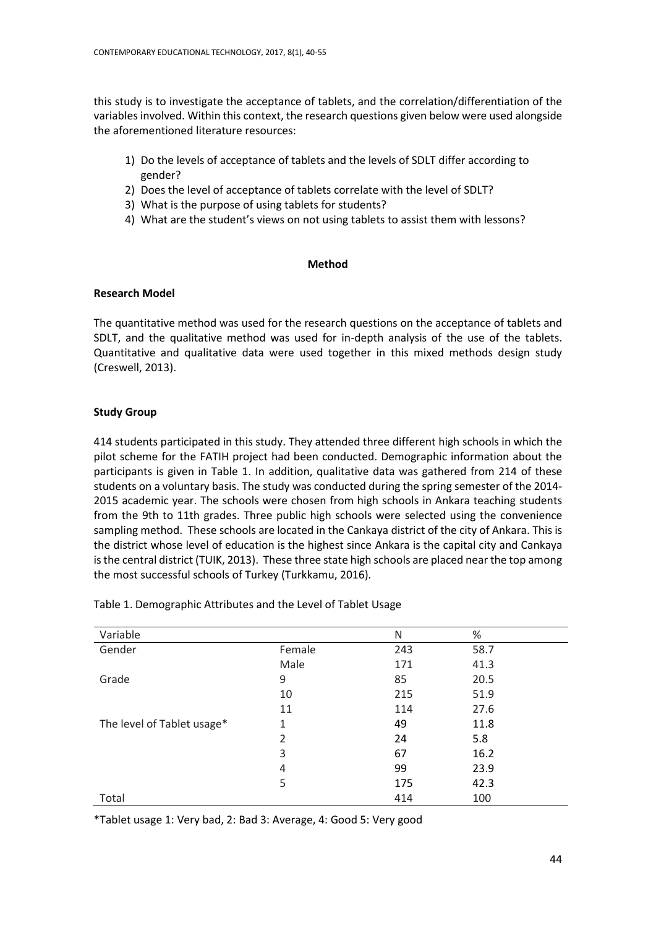this study is to investigate the acceptance of tablets, and the correlation/differentiation of the variables involved. Within this context, the research questions given below were used alongside the aforementioned literature resources:

- 1) Do the levels of acceptance of tablets and the levels of SDLT differ according to gender?
- 2) Does the level of acceptance of tablets correlate with the level of SDLT?
- 3) What is the purpose of using tablets for students?
- 4) What are the student's views on not using tablets to assist them with lessons?

# **Method**

# **Research Model**

The quantitative method was used for the research questions on the acceptance of tablets and SDLT, and the qualitative method was used for in-depth analysis of the use of the tablets. Quantitative and qualitative data were used together in this mixed methods design study (Creswell, 2013).

# **Study Group**

414 students participated in this study. They attended three different high schools in which the pilot scheme for the FATIH project had been conducted. Demographic information about the participants is given in Table 1. In addition, qualitative data was gathered from 214 of these students on a voluntary basis. The study was conducted during the spring semester of the 2014- 2015 academic year. The schools were chosen from high schools in Ankara teaching students from the 9th to 11th grades. Three public high schools were selected using the convenience sampling method. These schools are located in the Cankaya district of the city of Ankara. This is the district whose level of education is the highest since Ankara is the capital city and Cankaya is the central district (TUIK, 2013). These three state high schools are placed near the top among the most successful schools of Turkey (Turkkamu, 2016).

| Variable                   |        | N   | $\%$ |
|----------------------------|--------|-----|------|
| Gender                     | Female | 243 | 58.7 |
|                            | Male   | 171 | 41.3 |
| Grade                      | 9      | 85  | 20.5 |
|                            | 10     | 215 | 51.9 |
|                            | 11     | 114 | 27.6 |
| The level of Tablet usage* | 1      | 49  | 11.8 |
|                            | 2      | 24  | 5.8  |
|                            | 3      | 67  | 16.2 |
|                            | 4      | 99  | 23.9 |
|                            | 5      | 175 | 42.3 |
| Total                      |        | 414 | 100  |

Table 1. Demographic Attributes and the Level of Tablet Usage

\*Tablet usage 1: Very bad, 2: Bad 3: Average, 4: Good 5: Very good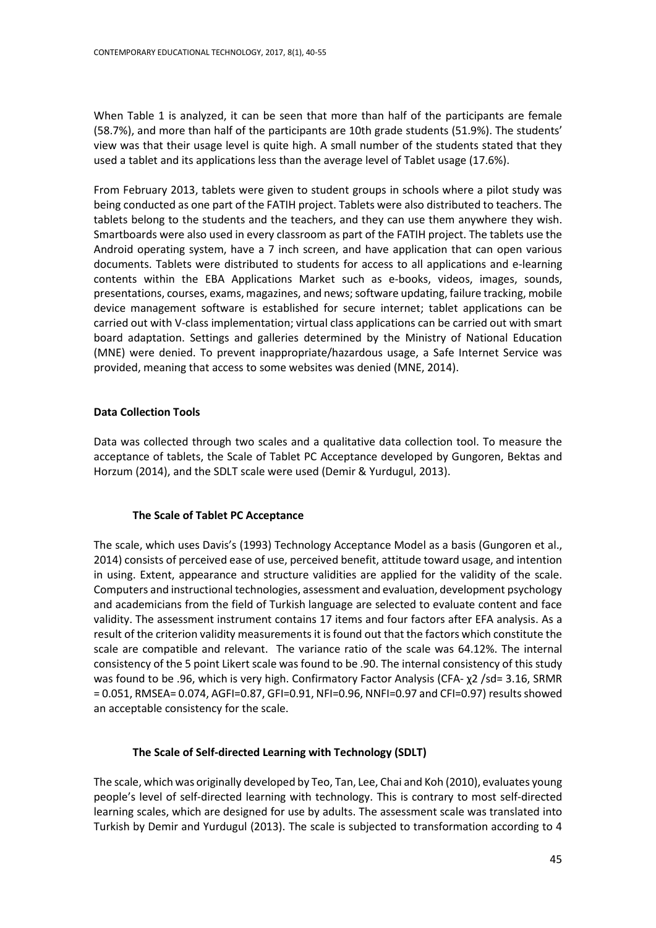When Table 1 is analyzed, it can be seen that more than half of the participants are female (58.7%), and more than half of the participants are 10th grade students (51.9%). The students' view was that their usage level is quite high. A small number of the students stated that they used a tablet and its applications less than the average level of Tablet usage (17.6%).

From February 2013, tablets were given to student groups in schools where a pilot study was being conducted as one part of the FATIH project. Tablets were also distributed to teachers. The tablets belong to the students and the teachers, and they can use them anywhere they wish. Smartboards were also used in every classroom as part of the FATIH project. The tablets use the Android operating system, have a 7 inch screen, and have application that can open various documents. Tablets were distributed to students for access to all applications and e-learning contents within the EBA Applications Market such as e-books, videos, images, sounds, presentations, courses, exams, magazines, and news;software updating, failure tracking, mobile device management software is established for secure internet; tablet applications can be carried out with V-class implementation; virtual class applications can be carried out with smart board adaptation. Settings and galleries determined by the Ministry of National Education (MNE) were denied. To prevent inappropriate/hazardous usage, a Safe Internet Service was provided, meaning that access to some websites was denied (MNE, 2014).

# **Data Collection Tools**

Data was collected through two scales and a qualitative data collection tool. To measure the acceptance of tablets, the Scale of Tablet PC Acceptance developed by Gungoren, Bektas and Horzum (2014), and the SDLT scale were used (Demir & Yurdugul, 2013).

# **The Scale of Tablet PC Acceptance**

The scale, which uses Davis's (1993) Technology Acceptance Model as a basis (Gungoren et al., 2014) consists of perceived ease of use, perceived benefit, attitude toward usage, and intention in using. Extent, appearance and structure validities are applied for the validity of the scale. Computers and instructional technologies, assessment and evaluation, development psychology and academicians from the field of Turkish language are selected to evaluate content and face validity. The assessment instrument contains 17 items and four factors after EFA analysis. As a result of the criterion validity measurements it is found out that the factors which constitute the scale are compatible and relevant. The variance ratio of the scale was 64.12%. The internal consistency of the 5 point Likert scale was found to be .90. The internal consistency of this study was found to be .96, which is very high. Confirmatory Factor Analysis (CFA- χ2 /sd= 3.16, SRMR = 0.051, RMSEA= 0.074, AGFI=0.87, GFI=0.91, NFI=0.96, NNFI=0.97 and CFI=0.97) results showed an acceptable consistency for the scale.

# **The Scale of Self-directed Learning with Technology (SDLT)**

The scale, which was originally developed by Teo, Tan, Lee, Chai and Koh (2010), evaluates young people's level of self-directed learning with technology. This is contrary to most self-directed learning scales, which are designed for use by adults. The assessment scale was translated into Turkish by Demir and Yurdugul (2013). The scale is subjected to transformation according to 4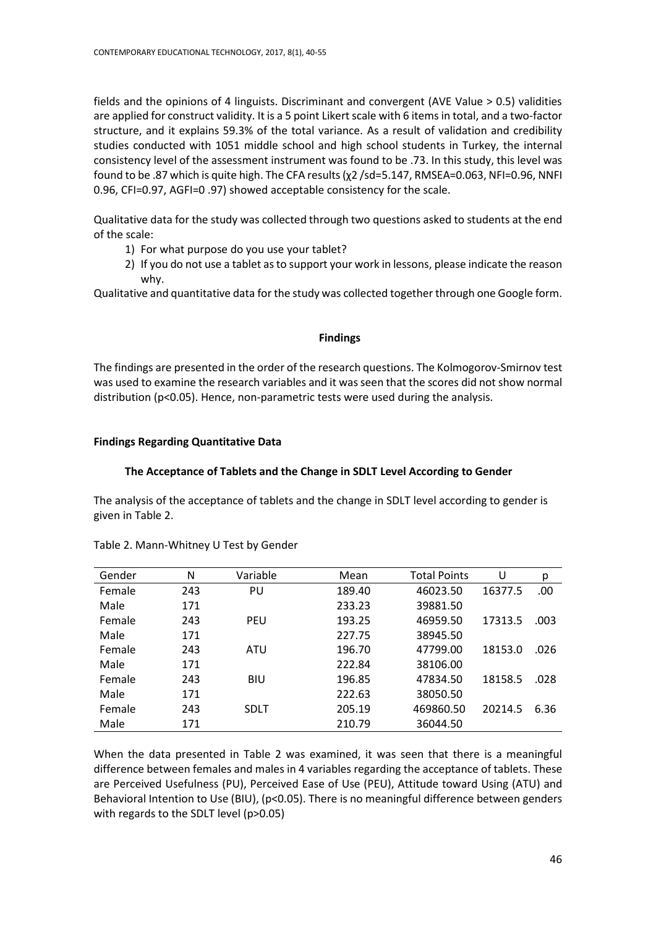fields and the opinions of 4 linguists. Discriminant and convergent (AVE Value > 0.5) validities are applied for construct validity. It is a 5 point Likert scale with 6 items in total, and a two-factor structure, and it explains 59.3% of the total variance. As a result of validation and credibility studies conducted with 1051 middle school and high school students in Turkey, the internal consistency level of the assessment instrument was found to be .73. In this study, this level was found to be .87 which is quite high. The CFA results (χ2 /sd=5.147, RMSEA=0.063, NFI=0.96, NNFI 0.96, CFI=0.97, AGFI=0 .97) showed acceptable consistency for the scale.

Qualitative data for the study was collected through two questions asked to students at the end of the scale:

- 1) For what purpose do you use your tablet?
- 2) If you do not use a tablet as to support your work in lessons, please indicate the reason why.

Qualitative and quantitative data for the study was collected together through one Google form.

# **Findings**

The findings are presented in the order of the research questions. The Kolmogorov-Smirnov test was used to examine the research variables and it was seen that the scores did not show normal distribution (p<0.05). Hence, non-parametric tests were used during the analysis.

# **Findings Regarding Quantitative Data**

# **The Acceptance of Tablets and the Change in SDLT Level According to Gender**

The analysis of the acceptance of tablets and the change in SDLT level according to gender is given in Table 2.

| Gender | N   | Variable    | Mean   | <b>Total Points</b> | U       | p    |
|--------|-----|-------------|--------|---------------------|---------|------|
| Female | 243 | PU          | 189.40 | 46023.50            | 16377.5 | .00  |
| Male   | 171 |             | 233.23 | 39881.50            |         |      |
| Female | 243 | <b>PEU</b>  | 193.25 | 46959.50            | 17313.5 | .003 |
| Male   | 171 |             | 227.75 | 38945.50            |         |      |
| Female | 243 | ATU         | 196.70 | 47799.00            | 18153.0 | .026 |
| Male   | 171 |             | 222.84 | 38106.00            |         |      |
| Female | 243 | <b>BIU</b>  | 196.85 | 47834.50            | 18158.5 | .028 |
| Male   | 171 |             | 222.63 | 38050.50            |         |      |
| Female | 243 | <b>SDLT</b> | 205.19 | 469860.50           | 20214.5 | 6.36 |
| Male   | 171 |             | 210.79 | 36044.50            |         |      |

Table 2. Mann-Whitney U Test by Gender

When the data presented in Table 2 was examined, it was seen that there is a meaningful difference between females and males in 4 variables regarding the acceptance of tablets. These are Perceived Usefulness (PU), Perceived Ease of Use (PEU), Attitude toward Using (ATU) and Behavioral Intention to Use (BIU), (p<0.05). There is no meaningful difference between genders with regards to the SDLT level (p>0.05)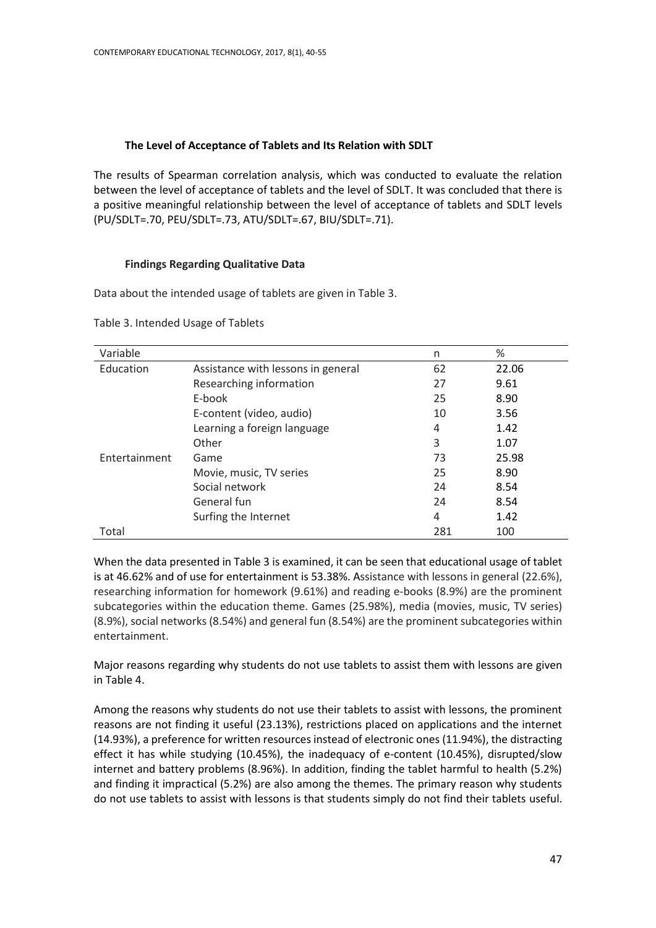# **The Level of Acceptance of Tablets and Its Relation with SDLT**

The results of Spearman correlation analysis, which was conducted to evaluate the relation between the level of acceptance of tablets and the level of SDLT. It was concluded that there is a positive meaningful relationship between the level of acceptance of tablets and SDLT levels (PU/SDLT=.70, PEU/SDLT=.73, ATU/SDLT=.67, BIU/SDLT=.71).

# **Findings Regarding Qualitative Data**

Data about the intended usage of tablets are given in Table 3.

| Variable      |                                    | n   | $\%$  |
|---------------|------------------------------------|-----|-------|
| Education     | Assistance with lessons in general | 62  | 22.06 |
|               | Researching information            | 27  | 9.61  |
|               | E-book                             | 25  | 8.90  |
|               | E-content (video, audio)           | 10  | 3.56  |
|               | Learning a foreign language        | 4   | 1.42  |
|               | Other                              | 3   | 1.07  |
| Entertainment | Game                               | 73  | 25.98 |
|               | Movie, music, TV series            | 25  | 8.90  |
|               | Social network                     | 24  | 8.54  |
|               | General fun                        | 24  | 8.54  |
|               | Surfing the Internet               | 4   | 1.42  |
| Total         |                                    | 281 | 100   |

Table 3. Intended Usage of Tablets

When the data presented in Table 3 is examined, it can be seen that educational usage of tablet is at 46.62% and of use for entertainment is 53.38%. Assistance with lessons in general (22.6%), researching information for homework (9.61%) and reading e-books (8.9%) are the prominent subcategories within the education theme. Games (25.98%), media (movies, music, TV series) (8.9%), social networks (8.54%) and general fun (8.54%) are the prominent subcategories within entertainment.

Major reasons regarding why students do not use tablets to assist them with lessons are given in Table 4.

Among the reasons why students do not use their tablets to assist with lessons, the prominent reasons are not finding it useful (23.13%), restrictions placed on applications and the internet (14.93%), a preference for written resources instead of electronic ones (11.94%), the distracting effect it has while studying (10.45%), the inadequacy of e-content (10.45%), disrupted/slow internet and battery problems (8.96%). In addition, finding the tablet harmful to health (5.2%) and finding it impractical (5.2%) are also among the themes. The primary reason why students do not use tablets to assist with lessons is that students simply do not find their tablets useful.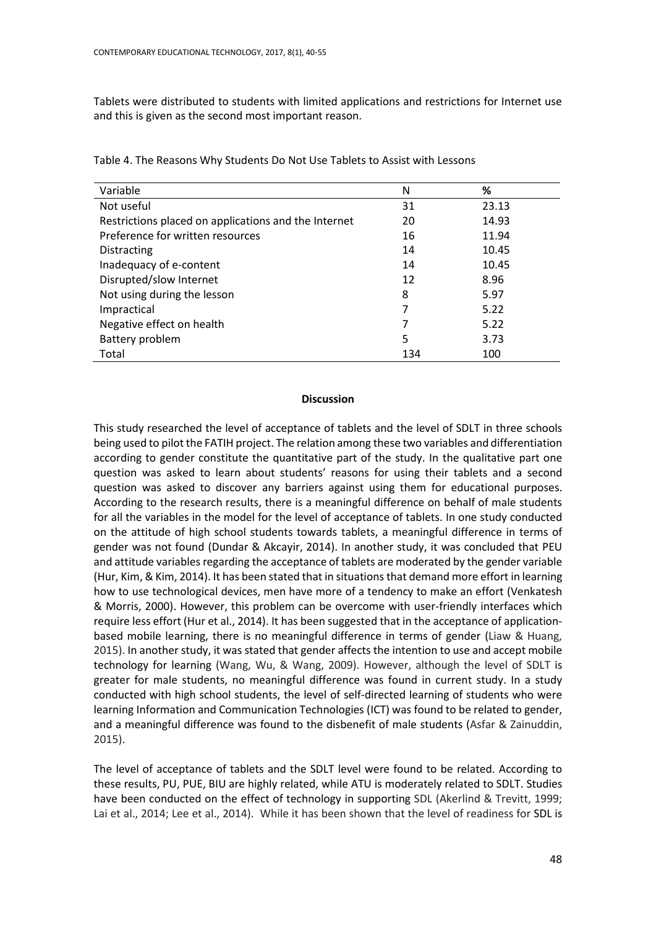Tablets were distributed to students with limited applications and restrictions for Internet use and this is given as the second most important reason.

| Variable                                             | N   | %     |
|------------------------------------------------------|-----|-------|
| Not useful                                           | 31  | 23.13 |
| Restrictions placed on applications and the Internet | 20  | 14.93 |
| Preference for written resources                     | 16  | 11.94 |
| Distracting                                          | 14  | 10.45 |
| Inadequacy of e-content                              | 14  | 10.45 |
| Disrupted/slow Internet                              | 12  | 8.96  |
| Not using during the lesson                          | 8   | 5.97  |
| Impractical                                          |     | 5.22  |
| Negative effect on health                            |     | 5.22  |
| Battery problem                                      | 5   | 3.73  |
| Total                                                | 134 | 100   |

Table 4. The Reasons Why Students Do Not Use Tablets to Assist with Lessons

# **Discussion**

This study researched the level of acceptance of tablets and the level of SDLT in three schools being used to pilot the FATIH project. The relation among these two variables and differentiation according to gender constitute the quantitative part of the study. In the qualitative part one question was asked to learn about students' reasons for using their tablets and a second question was asked to discover any barriers against using them for educational purposes. According to the research results, there is a meaningful difference on behalf of male students for all the variables in the model for the level of acceptance of tablets. In one study conducted on the attitude of high school students towards tablets, a meaningful difference in terms of gender was not found (Dundar & Akcayir, 2014). In another study, it was concluded that PEU and attitude variables regarding the acceptance of tablets are moderated by the gender variable (Hur, Kim, & Kim, 2014). It has been stated that in situations that demand more effort in learning how to use technological devices, men have more of a tendency to make an effort (Venkatesh & Morris, 2000). However, this problem can be overcome with user-friendly interfaces which require less effort (Hur et al., 2014). It has been suggested that in the acceptance of applicationbased mobile learning, there is no meaningful difference in terms of gender (Liaw & Huang, 2015). In another study, it was stated that gender affects the intention to use and accept mobile technology for learning (Wang, Wu, & Wang, 2009). However, although the level of SDLT is greater for male students, no meaningful difference was found in current study. In a study conducted with high school students, the level of self-directed learning of students who were learning Information and Communication Technologies (ICT) was found to be related to gender, and a meaningful difference was found to the disbenefit of male students (Asfar & Zainuddin, 2015).

The level of acceptance of tablets and the SDLT level were found to be related. According to these results, PU, PUE, BIU are highly related, while ATU is moderately related to SDLT. Studies have been conducted on the effect of technology in supporting SDL (Akerlind & Trevitt, 1999; Lai et al., 2014; Lee et al., 2014). While it has been shown that the level of readiness for SDL is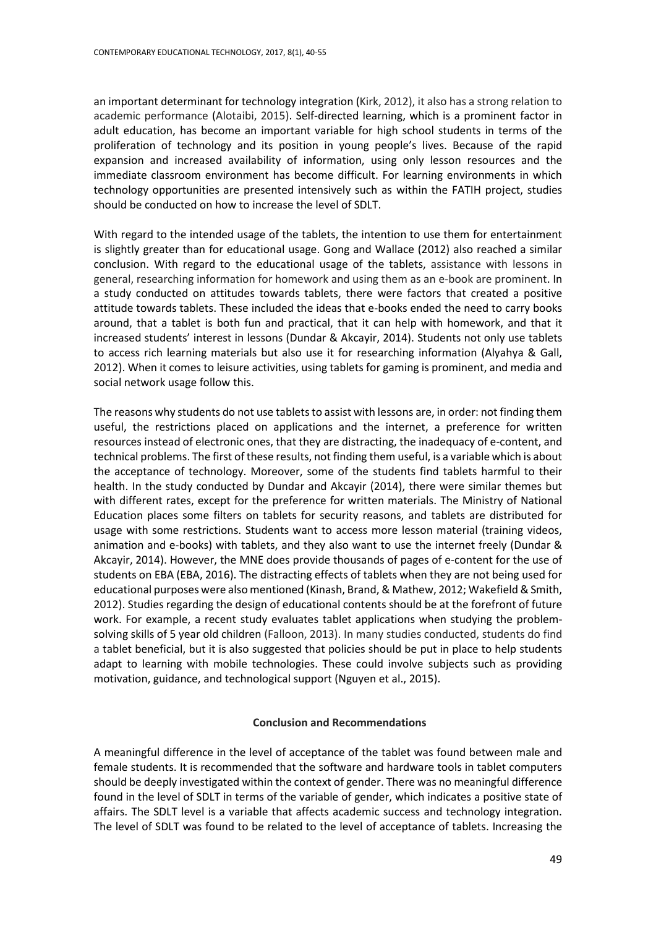an important determinant for technology integration (Kirk, 2012), it also has a strong relation to academic performance (Alotaibi, 2015). Self-directed learning, which is a prominent factor in adult education, has become an important variable for high school students in terms of the proliferation of technology and its position in young people's lives. Because of the rapid expansion and increased availability of information, using only lesson resources and the immediate classroom environment has become difficult. For learning environments in which technology opportunities are presented intensively such as within the FATIH project, studies should be conducted on how to increase the level of SDLT.

With regard to the intended usage of the tablets, the intention to use them for entertainment is slightly greater than for educational usage. Gong and Wallace (2012) also reached a similar conclusion. With regard to the educational usage of the tablets, assistance with lessons in general, researching information for homework and using them as an e-book are prominent. In a study conducted on attitudes towards tablets, there were factors that created a positive attitude towards tablets. These included the ideas that e-books ended the need to carry books around, that a tablet is both fun and practical, that it can help with homework, and that it increased students' interest in lessons (Dundar & Akcayir, 2014). Students not only use tablets to access rich learning materials but also use it for researching information (Alyahya & Gall, 2012). When it comes to leisure activities, using tablets for gaming is prominent, and media and social network usage follow this.

The reasons why students do not use tablets to assist with lessons are, in order: not finding them useful, the restrictions placed on applications and the internet, a preference for written resources instead of electronic ones, that they are distracting, the inadequacy of e-content, and technical problems. The first of these results, not finding them useful, is a variable which is about the acceptance of technology. Moreover, some of the students find tablets harmful to their health. In the study conducted by Dundar and Akcayir (2014), there were similar themes but with different rates, except for the preference for written materials. The Ministry of National Education places some filters on tablets for security reasons, and tablets are distributed for usage with some restrictions. Students want to access more lesson material (training videos, animation and e-books) with tablets, and they also want to use the internet freely (Dundar & Akcayir, 2014). However, the MNE does provide thousands of pages of e-content for the use of students on EBA (EBA, 2016). The distracting effects of tablets when they are not being used for educational purposes were also mentioned (Kinash, Brand, & Mathew, 2012; Wakefield & Smith, 2012). Studies regarding the design of educational contents should be at the forefront of future work. For example, a recent study evaluates tablet applications when studying the problemsolving skills of 5 year old children (Falloon, 2013). In many studies conducted, students do find a tablet beneficial, but it is also suggested that policies should be put in place to help students adapt to learning with mobile technologies. These could involve subjects such as providing motivation, guidance, and technological support (Nguyen et al., 2015).

#### **Conclusion and Recommendations**

A meaningful difference in the level of acceptance of the tablet was found between male and female students. It is recommended that the software and hardware tools in tablet computers should be deeply investigated within the context of gender. There was no meaningful difference found in the level of SDLT in terms of the variable of gender, which indicates a positive state of affairs. The SDLT level is a variable that affects academic success and technology integration. The level of SDLT was found to be related to the level of acceptance of tablets. Increasing the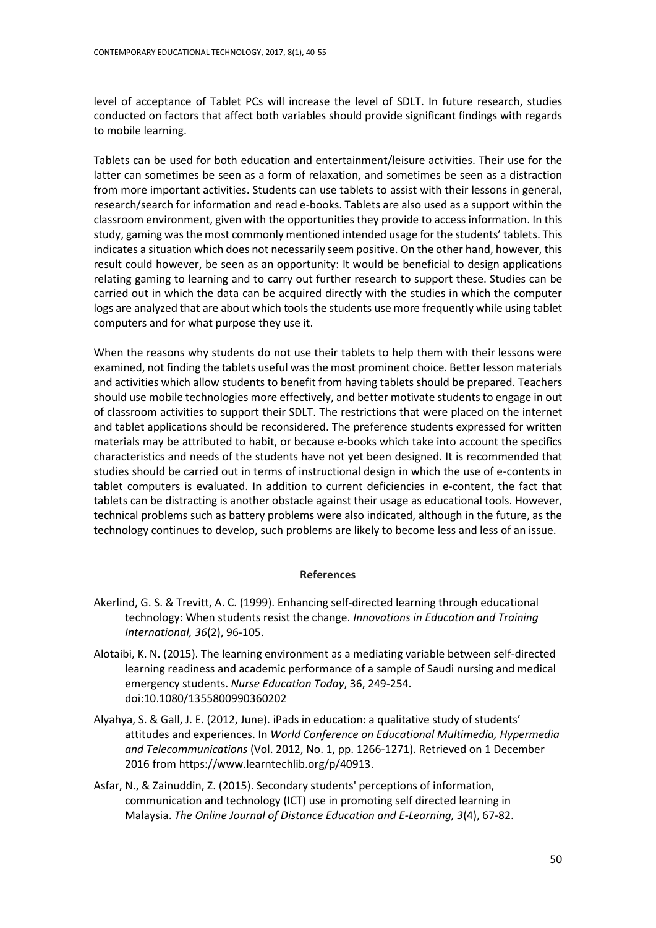level of acceptance of Tablet PCs will increase the level of SDLT. In future research, studies conducted on factors that affect both variables should provide significant findings with regards to mobile learning.

Tablets can be used for both education and entertainment/leisure activities. Their use for the latter can sometimes be seen as a form of relaxation, and sometimes be seen as a distraction from more important activities. Students can use tablets to assist with their lessons in general, research/search for information and read e-books. Tablets are also used as a support within the classroom environment, given with the opportunities they provide to access information. In this study, gaming was the most commonly mentioned intended usage for the students' tablets. This indicates a situation which does not necessarily seem positive. On the other hand, however, this result could however, be seen as an opportunity: It would be beneficial to design applications relating gaming to learning and to carry out further research to support these. Studies can be carried out in which the data can be acquired directly with the studies in which the computer logs are analyzed that are about which tools the students use more frequently while using tablet computers and for what purpose they use it.

When the reasons why students do not use their tablets to help them with their lessons were examined, not finding the tablets useful wasthe most prominent choice. Better lesson materials and activities which allow students to benefit from having tablets should be prepared. Teachers should use mobile technologies more effectively, and better motivate students to engage in out of classroom activities to support their SDLT. The restrictions that were placed on the internet and tablet applications should be reconsidered. The preference students expressed for written materials may be attributed to habit, or because e-books which take into account the specifics characteristics and needs of the students have not yet been designed. It is recommended that studies should be carried out in terms of instructional design in which the use of e-contents in tablet computers is evaluated. In addition to current deficiencies in e-content, the fact that tablets can be distracting is another obstacle against their usage as educational tools. However, technical problems such as battery problems were also indicated, although in the future, as the technology continues to develop, such problems are likely to become less and less of an issue.

#### **References**

- Akerlind, G. S. & Trevitt, A. C. (1999). Enhancing self‐directed learning through educational technology: When students resist the change. *Innovations in Education and Training International, 36*(2), 96-105.
- Alotaibi, K. N. (2015). The learning environment as a mediating variable between self-directed learning readiness and academic performance of a sample of Saudi nursing and medical emergency students. *Nurse Education Today*, 36, 249-254. doi:10.1080/1355800990360202
- Alyahya, S. & Gall, J. E. (2012, June). iPads in education: a qualitative study of students' attitudes and experiences. In *World Conference on Educational Multimedia, Hypermedia and Telecommunications* (Vol. 2012, No. 1, pp. 1266-1271). Retrieved on 1 December 2016 from https://www.learntechlib.org/p/40913.
- Asfar, N., & Zainuddin, Z. (2015). Secondary students' perceptions of information, communication and technology (ICT) use in promoting self directed learning in Malaysia. *The Online Journal of Distance Education and E-Learning, 3*(4), 67-82.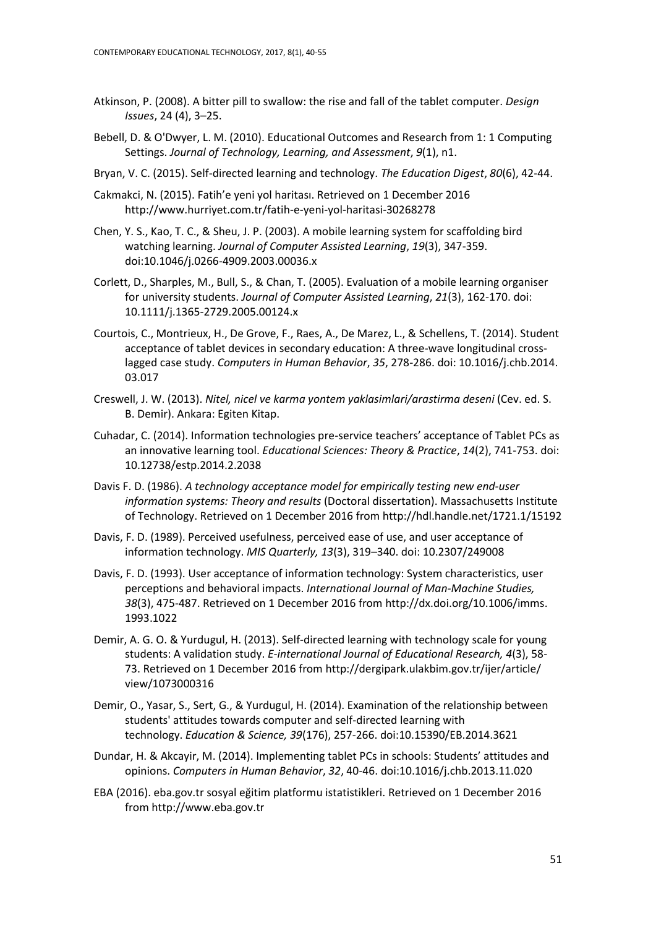- Atkinson, P. (2008). A bitter pill to swallow: the rise and fall of the tablet computer. *Design Issues*, 24 (4), 3–25.
- Bebell, D. & O'Dwyer, L. M. (2010). Educational Outcomes and Research from 1: 1 Computing Settings. *Journal of Technology, Learning, and Assessment*, *9*(1), n1.
- Bryan, V. C. (2015). Self-directed learning and technology. *The Education Digest*, *80*(6), 42-44.
- Cakmakci, N. (2015). Fatih'e yeni yol haritası. Retrieved on 1 December 2016 http://www.hurriyet.com.tr/fatih-e-yeni-yol-haritasi-30268278
- Chen, Y. S., Kao, T. C., & Sheu, J. P. (2003). A mobile learning system for scaffolding bird watching learning. *Journal of Computer Assisted Learning*, *19*(3), 347-359. doi:10.1046/j.0266-4909.2003.00036.x
- Corlett, D., Sharples, M., Bull, S., & Chan, T. (2005). Evaluation of a mobile learning organiser for university students. *Journal of Computer Assisted Learning*, *21*(3), 162-170. doi: 10.1111/j.1365-2729.2005.00124.x
- Courtois, C., Montrieux, H., De Grove, F., Raes, A., De Marez, L., & Schellens, T. (2014). Student acceptance of tablet devices in secondary education: A three-wave longitudinal crosslagged case study. *Computers in Human Behavior*, *35*, 278-286. doi: [10.1016/j.chb.2014.](http://dx.doi.org/10.1016/j.chb.2014.03.017) [03.017](http://dx.doi.org/10.1016/j.chb.2014.03.017)
- Creswell, J. W. (2013). *Nitel, nicel ve karma yontem yaklasimlari/arastirma deseni* (Cev. ed. S. B. Demir). Ankara: Egiten Kitap.
- Cuhadar, C. (2014). Information technologies pre-service teachers' acceptance of Tablet PCs as an innovative learning tool. *Educational Sciences: Theory & Practice*, *14*(2), 741-753. doi: 10.12738/estp.2014.2.2038
- Davis F. D. (1986). *A technology acceptance model for empirically testing new end-user information systems: Theory and results* (Doctoral dissertation). Massachusetts Institute of Technology. Retrieved on 1 December 2016 from http://hdl.handle.net/1721.1/15192
- Davis, F. D. (1989). Perceived usefulness, perceived ease of use, and user acceptance of information technology. *MIS Quarterly, 13*(3), 319–340. doi: 10.2307/249008
- Davis, F. D. (1993). User acceptance of information technology: System characteristics, user perceptions and behavioral impacts. *International Journal of Man-Machine Studies, 38*(3), 475-487. Retrieved on 1 December 2016 fro[m http://dx.doi.org/10.1006/imms.](http://dx.doi.org/10.1006/imms) 1993.1022
- Demir, A. G. O. & Yurdugul, H. (2013). Self-directed learning with technology scale for young students: A validation study. *E-international Journal of Educational Research, 4*(3), 58- 73. Retrieved on 1 December 2016 from<http://dergipark.ulakbim.gov.tr/ijer/article/> view/1073000316
- Demir, O., Yasar, S., Sert, G., & Yurdugul, H. (2014). Examination of the relationship between students' attitudes towards computer and self-directed learning with technology. *Education & Science, 39*(176), 257-266. doi:10.15390/EB.2014.3621
- Dundar, H. & Akcayir, M. (2014). Implementing tablet PCs in schools: Students' attitudes and opinions. *Computers in Human Behavior*, *32*, 40-46. [doi:10.1016/j.chb.2013.11.020](http://dx.doi.org/10.1016/j.chb.2013.11.020)
- EBA (2016). eba.gov.tr sosyal eğitim platformu istatistikleri. Retrieved on 1 December 2016 from http://www.eba.gov.tr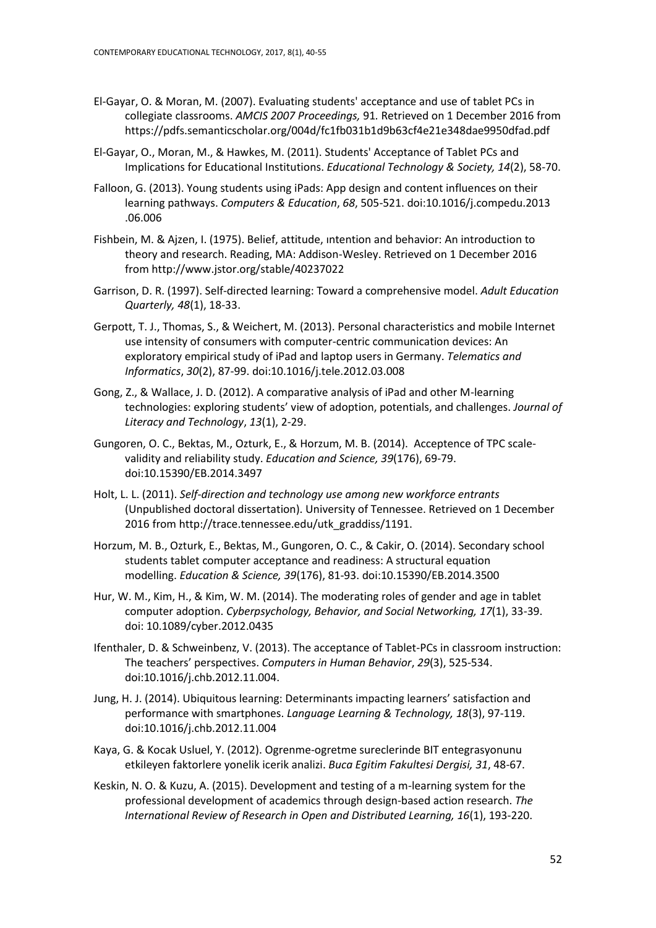- El-Gayar, O. & Moran, M. (2007). Evaluating students' acceptance and use of tablet PCs in collegiate classrooms. *AMCIS 2007 Proceedings,* 91*.* Retrieved on 1 December 2016 from https://pdfs.semanticscholar.org/004d/fc1fb031b1d9b63cf4e21e348dae9950dfad.pdf
- El-Gayar, O., Moran, M., & Hawkes, M. (2011). Students' Acceptance of Tablet PCs and Implications for Educational Institutions. *Educational Technology & Society, 14*(2), 58-70.
- Falloon, G. (2013). Young students using iPads: App design and content influences on their learning pathways. *Computers & Education*, *68*, 505-521[. doi:10.1016/j.compedu.2013](http://dx.doi.org/10.1016/j.compedu.2013.06.006) [.06.006](http://dx.doi.org/10.1016/j.compedu.2013.06.006)
- Fishbein, M. & Ajzen, I. (1975). Belief, attitude, ıntention and behavior: An introduction to theory and research. Reading, MA: Addison-Wesley. Retrieved on 1 December 2016 from http://www.jstor.org/stable/40237022
- Garrison, D. R. (1997). Self-directed learning: Toward a comprehensive model. *Adult Education Quarterly, 48*(1), 18-33.
- Gerpott, T. J., Thomas, S., & Weichert, M. (2013). Personal characteristics and mobile Internet use intensity of consumers with computer-centric communication devices: An exploratory empirical study of iPad and laptop users in Germany. *Telematics and Informatics*, *30*(2), 87-99. doi:10.1016/j.tele.2012.03.008
- Gong, Z., & Wallace, J. D. (2012). A comparative analysis of iPad and other M-learning technologies: exploring students' view of adoption, potentials, and challenges. *Journal of Literacy and Technology*, *13*(1), 2-29.
- Gungoren, O. C., Bektas, M., Ozturk, E., & Horzum, M. B. (2014). Acceptence of TPC scalevalidity and reliability study. *Education and Science, 39*(176), 69-79. doi:10.15390/EB.2014.3497
- Holt, L. L. (2011). *Self-direction and technology use among new workforce entrants* (Unpublished doctoral dissertation). University of Tennessee. Retrieved on 1 December 2016 from http://trace.tennessee.edu/utk\_graddiss/1191.
- Horzum, M. B., Ozturk, E., Bektas, M., Gungoren, O. C., & Cakir, O. (2014). Secondary school students tablet computer acceptance and readiness: A structural equation modelling. *Education & Science, 39*(176), 81-93. doi:10.15390/EB.2014.3500
- Hur, W. M., Kim, H., & Kim, W. M. (2014). The moderating roles of gender and age in tablet computer adoption. *Cyberpsychology, Behavior, and Social Networking, 17*(1), 33-39. doi: 10.1089/cyber.2012.0435
- Ifenthaler, D. & Schweinbenz, V. (2013). The acceptance of Tablet-PCs in classroom instruction: The teachers' perspectives. *Computers in Human Behavior*, *29*(3), 525-534. doi:10.1016/j.chb.2012.11.004.
- Jung, H. J. (2014). Ubiquitous learning: Determinants impacting learners' satisfaction and performance with smartphones. *Language Learning & Technology, 18*(3), 97-119. doi:10.1016/j.chb.2012.11.004
- Kaya, G. & Kocak Usluel, Y. (2012). Ogrenme-ogretme sureclerinde BIT entegrasyonunu etkileyen faktorlere yonelik icerik analizi. *Buca Egitim Fakultesi Dergisi, 31*, 48-67.
- Keskin, N. O. & Kuzu, A. (2015). Development and testing of a m-learning system for the professional development of academics through design-based action research. *The International Review of Research in Open and Distributed Learning, 16*(1), 193-220.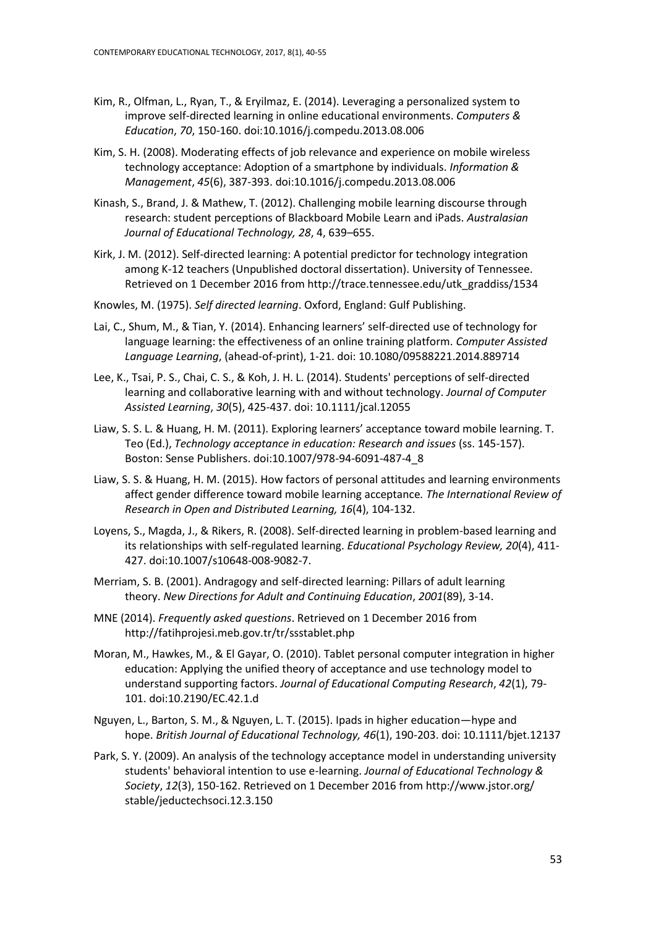- Kim, R., Olfman, L., Ryan, T., & Eryilmaz, E. (2014). Leveraging a personalized system to improve self-directed learning in online educational environments. *Computers & Education*, *70*, 150-160. doi:10.1016/j.compedu.2013.08.006
- Kim, S. H. (2008). Moderating effects of job relevance and experience on mobile wireless technology acceptance: Adoption of a smartphone by individuals. *Information & Management*, *45*(6), 387-393. doi:10.1016/j.compedu.2013.08.006
- Kinash, S., Brand, J. & Mathew, T. (2012). Challenging mobile learning discourse through research: student perceptions of Blackboard Mobile Learn and iPads. *Australasian Journal of Educational Technology, 28*, 4, 639–655.
- Kirk, J. M. (2012). Self-directed learning: A potential predictor for technology integration among K-12 teachers (Unpublished doctoral dissertation). University of Tennessee. Retrieved on 1 December 2016 from http://trace.tennessee.edu/utk\_graddiss/1534
- Knowles, M. (1975). *Self directed learning*. Oxford, England: Gulf Publishing.
- Lai, C., Shum, M., & Tian, Y. (2014). Enhancing learners' self-directed use of technology for language learning: the effectiveness of an online training platform. *Computer Assisted Language Learning*, (ahead-of-print), 1-21. doi: 10.1080/09588221.2014.889714
- Lee, K., Tsai, P. S., Chai, C. S., & Koh, J. H. L. (2014). Students' perceptions of self‐directed learning and collaborative learning with and without technology. *Journal of Computer Assisted Learning*, *30*(5), 425-437. doi: 10.1111/jcal.12055
- Liaw, S. S. L. & Huang, H. M. (2011). Exploring learners' acceptance toward mobile learning. T. Teo (Ed.), *Technology acceptance in education: Research and issues* (ss. 145-157). Boston: Sense Publishers. doi:10.1007/978-94-6091-487-4\_8
- Liaw, S. S. & Huang, H. M. (2015). How factors of personal attitudes and learning environments affect gender difference toward mobile learning acceptance*. The International Review of Research in Open and Distributed Learning, 16*(4), 104-132.
- Loyens, S., Magda, J., & Rikers, R. (2008). Self-directed learning in problem-based learning and its relationships with self-regulated learning. *Educational Psychology Review, 20*(4), 411- 427. doi:10.1007/s10648-008-9082-7.
- Merriam, S. B. (2001). Andragogy and self‐directed learning: Pillars of adult learning theory. *New Directions for Adult and Continuing Education*, *2001*(89), 3-14.
- MNE (2014). *Frequently asked questions*. Retrieved on 1 December 2016 from http://fatihprojesi.meb.gov.tr/tr/ssstablet.php
- Moran, M., Hawkes, M., & El Gayar, O. (2010). Tablet personal computer integration in higher education: Applying the unified theory of acceptance and use technology model to understand supporting factors. *Journal of Educational Computing Research*, *42*(1), 79- 101. doi:10.2190/EC.42.1.d
- Nguyen, L., Barton, S. M., & Nguyen, L. T. (2015). Ipads in higher education—hype and hope. *British Journal of Educational Technology, 46*(1), 190-203. doi: 10.1111/bjet.12137
- Park, S. Y. (2009). An analysis of the technology acceptance model in understanding university students' behavioral intention to use e-learning. *Journal of Educational Technology & Society*, *12*(3), 150-162. Retrieved on 1 December 2016 fro[m http://www.jstor.org/](http://www.jstor.org/) stable/jeductechsoci.12.3.150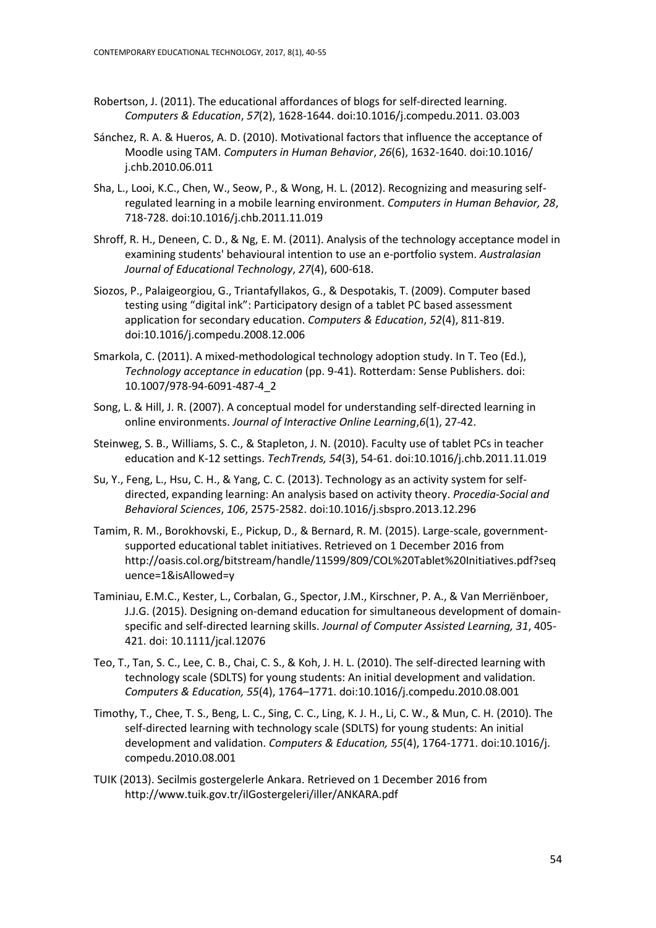- Robertson, J. (2011). The educational affordances of blogs for self-directed learning. *Computers & Education*, *57*(2), 1628-1644. doi:10.1016/j.compedu.2011. 03.003
- Sánchez, R. A. & Hueros, A. D. (2010). Motivational factors that influence the acceptance of Moodle using TAM. *Computers in Human Behavior*, *26*(6), 1632-1640. doi:10.1016/ j.chb.2010.06.011
- Sha, L., Looi, K.C., Chen, W., Seow, P., & Wong, H. L. (2012). Recognizing and measuring selfregulated learning in a mobile learning environment. *Computers in Human Behavior, 28*, 718-728. doi:10.1016/j.chb.2011.11.019
- Shroff, R. H., Deneen, C. D., & Ng, E. M. (2011). Analysis of the technology acceptance model in examining students' behavioural intention to use an e-portfolio system. *Australasian Journal of Educational Technology*, *27*(4), 600-618.
- Siozos, P., Palaigeorgiou, G., Triantafyllakos, G., & Despotakis, T. (2009). Computer based testing using "digital ink": Participatory design of a tablet PC based assessment application for secondary education. *Computers & Education*, *52*(4), 811-819. doi:10.1016/j.compedu.2008.12.006
- Smarkola, C. (2011). A mixed-methodological technology adoption study. In T. Teo (Ed.), *Technology acceptance in education* (pp. 9-41). Rotterdam: Sense Publishers. doi: 10.1007/978-94-6091-487-4\_2
- Song, L. & Hill, J. R. (2007). A conceptual model for understanding self-directed learning in online environments. *Journal of Interactive Online Learning*,*6*(1), 27-42.
- Steinweg, S. B., Williams, S. C., & Stapleton, J. N. (2010). Faculty use of tablet PCs in teacher education and K-12 settings. *TechTrends, 54*(3), 54-61. doi:10.1016/j.chb.2011.11.019
- Su, Y., Feng, L., Hsu, C. H., & Yang, C. C. (2013). Technology as an activity system for selfdirected, expanding learning: An analysis based on activity theory. *Procedia-Social and Behavioral Sciences*, *106*, 2575-2582. doi:10.1016/j.sbspro.2013.12.296
- Tamim, R. M., Borokhovski, E., Pickup, D., & Bernard, R. M. (2015). Large-scale, governmentsupported educational tablet initiatives. Retrieved on 1 December 2016 from http://oasis.col.org/bitstream/handle/11599/809/COL%20Tablet%20Initiatives.pdf?seq uence=1&isAllowed=y
- Taminiau, E.M.C., Kester, L., Corbalan, G., Spector, J.M., Kirschner, P. A., & Van Merriënboer, J.J.G. (2015). Designing on-demand education for simultaneous development of domainspecific and self-directed learning skills. *Journal of Computer Assisted Learning, 31*, 405- 421. doi: 10.1111/jcal.12076
- Teo, T., Tan, S. C., Lee, C. B., Chai, C. S., & Koh, J. H. L. (2010). The self-directed learning with technology scale (SDLTS) for young students: An initial development and validation. *Computers & Education, 55*(4), 1764–1771. doi:10.1016/j.compedu.2010.08.001
- Timothy, T., Chee, T. S., Beng, L. C., Sing, C. C., Ling, K. J. H., Li, C. W., & Mun, C. H. (2010). The self-directed learning with technology scale (SDLTS) for young students: An initial development and validation. *Computers & Education, 55*(4), 1764-1771. doi:10.1016/j. compedu.2010.08.001
- TUIK (2013). Secilmis gostergelerle Ankara. Retrieved on 1 December 2016 from <http://www.tuik.gov.tr/ilGostergeleri/iller/ANKARA.pdf>